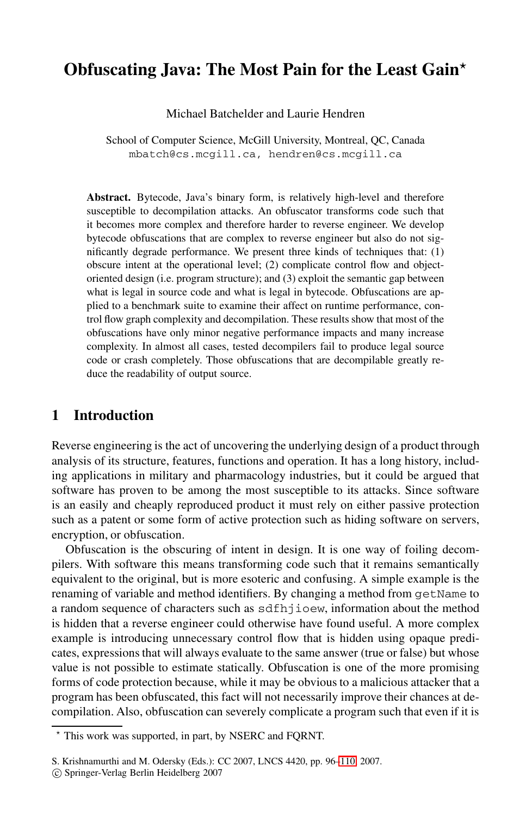# **Obfuscating Java: The Most Pain for the Least Gain***-*

Michael Batchelder and Laurie Hendren

School of Computer Science, McGill University, Montreal, QC, Canada mbatch@cs.mcgill.ca, hendren@cs.mcgill.ca

**Abstract.** Bytecode, Java's binary form, is relatively high-level and therefore susceptible to decompilation attacks. An obfuscator transforms code such that it becomes more complex and therefore harder to reverse engineer. We develop bytecode obfuscations that are complex to reverse engineer but also do not significantly degrade performance. We present three kinds of techniques that: (1) obscure intent at the operational level; (2) complicate control flow and objectoriented design (i.e. program structure); and (3) exploit the semantic gap between what is legal in source code and what is legal in bytecode. Obfuscations are applied to a benchmark suite to examine their affect on runtime performance, control flow graph complexity and decompilation. These results show that most of the obfuscations have only minor negative performance impacts and many increase complexity. In almost all cases, tested decompilers fail to produce legal source code or crash completely. Those obfuscations that are decompilable greatly reduce the readability of output source.

# **1 Introduction**

Reverse engineering is the act of uncovering the underlying design of a product through analysis of its structure, features, functions and operation. It has a long history, including applications in military and pharmacology industries, but it could be argued that software has proven to be among the most susceptible to its attacks. Since software is an easily and cheaply reproduced product it must rely on either passive protection such as a patent or some form of active protection such as hiding software on servers, encryption, or obfuscation.

Obfuscation is the obscuring of intent in design. It is one way of foiling decompilers. With software this means transforming code such that it remains semantically equivalent to the original, but is more esoteric and confusing. A simple example is the renaming of variable and method identifiers. By changing a method from getName to a random sequence of characters such as sdfhjioew, information about the method is hidden that a reverse engineer could otherwise have found useful. A more complex example is introducing unnecessary control flow that is hidden using opaque predicates, expressions that will always evaluate to the same answer (true or false) but whose value is not possible to estimate statically. Obfuscation is one of the more promising forms of code protection because, while it may be obvious to a malicious attacker that a program has been obfuscated, this fact will not necessarily improve their chances at decompilation. Also, obfuscation can severely complicate a program such that even if it is

<sup>-</sup> This work was supported, in part, by NSERC and FQRNT.

S. Krishnamurthi and M. Odersky (Eds.): CC 2007, LNCS 4420, pp. 96–110, 2007.

<sup>-</sup>c Springer-Verlag Berlin Heidelberg 2007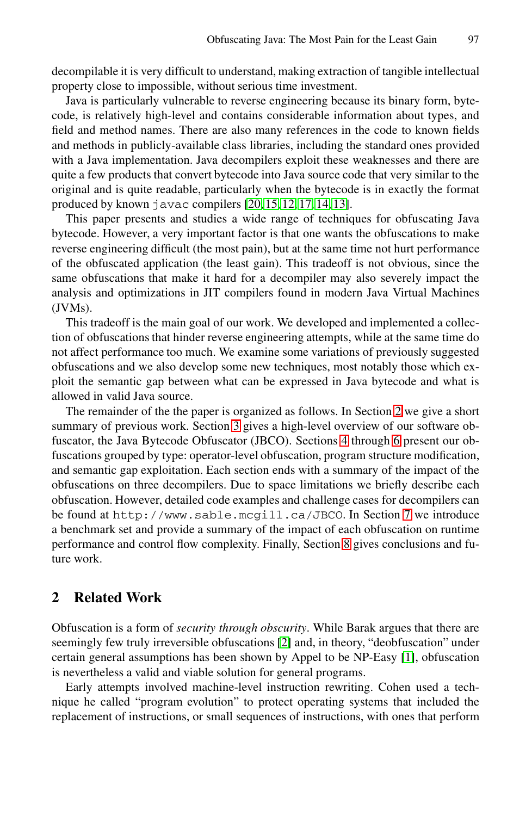decompilable it is very difficult to understand, making extraction of tangible intellectual property close to impossible, without serious time investment.

Java is particularly vulnerable to reverse engineering because its binary form, bytecode, is relatively high-level and contains considerable information about types, and field and method names. There are also many references in the code to known fields and methods in publicly-available class libraries, including the standard ones provided with a Java implementation. Java decompilers exploit these weaknesses and there are quite a few products that convert bytecode into Java source code that very similar to the original and is quite readable, particularly when the bytecode is in exactly the format produced by known javac compilers [20, 15, 12, 17, 14, 13].

This paper presents and studies a wide range of techniques for obfuscating Java bytecode. However, a very important factor is that one wants the obfuscations to make reverse engineering difficult (the most pain), but at the same time not hurt performance of the obfuscated application (the least gain). This tradeoff is not obvious, since the same obfuscations that make it hard for a decompiler may also severely impact the analysis and optimizations in JIT compilers found in modern Java Virtual Machines (JVMs).

This tradeoff is the main goal of our work. We developed and implemented a collection of obfuscations that hinder reverse engineering attempts, while at the same time do not affect performance too much. We examine some variations of previously suggested obfuscations and we also develop some new techniques, most notably those which exploit the semantic gap between what can be expressed in Java bytecode and what is allowed in valid Java source.

The remainder of the the paper is organized as follows. In Section 2 we give a short summary of previous work. Section 3 gives a high-level overview of our software obfuscator, the Java Bytecode Obfuscator (JBCO). Sections 4 through 6 present our obfuscations grouped by type: operator-level obfuscation, program structure modification, and semantic gap exploitation. Each section ends with a summary of the impact of the obfuscations on three decompilers. Due to space limitations we briefly describe each obfuscation. However, detailed code examples and challenge cases for decompilers can be found at http://www.sable.mcgill.ca/JBCO. In Section 7 we introduce a benchmark set and provide a summary of the impact of each obfuscation on runtime performance and control flow complexity. Finally, Section 8 gives conclusions and future work.

# **2 Related Work**

Obfuscation is a form of *security through obscurity*. While Barak argues that there are seemingly few truly irreversible obfuscations [2] and, in theory, "deobfuscation" under certain general assumptions has been shown by Appel to be NP-Easy [1], obfuscation is nevertheless a valid and viable solution for general programs.

Early attempts involved machine-level instruction rewriting. Cohen used a technique he called "program evolution" to protect operating systems that included the replacement of instructions, or small sequences of instructions, with ones that perform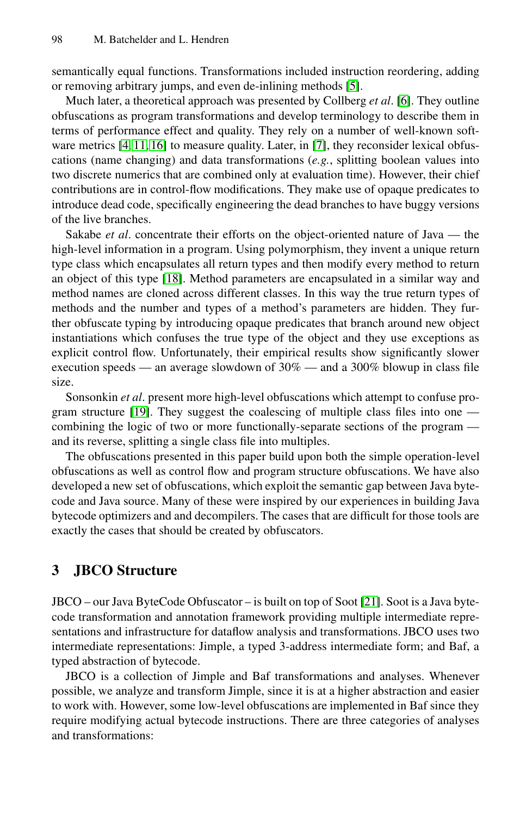semantically equal functions. Transformations included instruction reordering, adding or removing arbitrary jumps, and even de-inlining methods [5].

Much later, a theoretical approach was presented by Collberg *et al*. [6]. They outline obfuscations as program transformations and develop terminology to describe them in terms of performance effect and quality. They rely on a number of well-known software metrics [4, 11, 16] to measure quality. Later, in [7], they reconsider lexical obfuscations (name changing) and data transformations (*e.g.*, splitting boolean values into two discrete numerics that are combined only at evaluation time). However, their chief contributions are in control-flow modifications. They make use of opaque predicates to introduce dead code, specifically engineering the dead branches to have buggy versions of the live branches.

Sakabe *et al*. concentrate their efforts on the object-oriented nature of Java — the high-level information in a program. Using polymorphism, they invent a unique return type class which encapsulates all return types and then modify every method to return an object of this type [18]. Method parameters are encapsulated in a similar way and method names are cloned across different classes. In this way the true return types of methods and the number and types of a method's parameters are hidden. They further obfuscate typing by introducing opaque predicates that branch around new object instantiations which confuses the true type of the object and they use exceptions as explicit control flow. Unfortunately, their empirical results show significantly slower execution speeds — an average slowdown of 30% — and a 300% blowup in class file size.

Sonsonkin *et al*. present more high-level obfuscations which attempt to confuse program structure [19]. They suggest the coalescing of multiple class files into one combining the logic of two or more functionally-separate sections of the program and its reverse, splitting a single class file into multiples.

The obfuscations presented in this paper build upon both the simple operation-level obfuscations as well as control flow and program structure obfuscations. We have also developed a new set of obfuscations, which exploit the semantic gap between Java bytecode and Java source. Many of these were inspired by our experiences in building Java bytecode optimizers and and decompilers. The cases that are difficult for those tools are exactly the cases that should be created by obfuscators.

# **3 JBCO Structure**

JBCO – our Java ByteCode Obfuscator – is built on top of Soot [21]. Soot is a Java bytecode transformation and annotation framework providing multiple intermediate representations and infrastructure for dataflow analysis and transformations. JBCO uses two intermediate representations: Jimple, a typed 3-address intermediate form; and Baf, a typed abstraction of bytecode.

JBCO is a collection of Jimple and Baf transformations and analyses. Whenever possible, we analyze and transform Jimple, since it is at a higher abstraction and easier to work with. However, some low-level obfuscations are implemented in Baf since they require modifying actual bytecode instructions. There are three categories of analyses and transformations: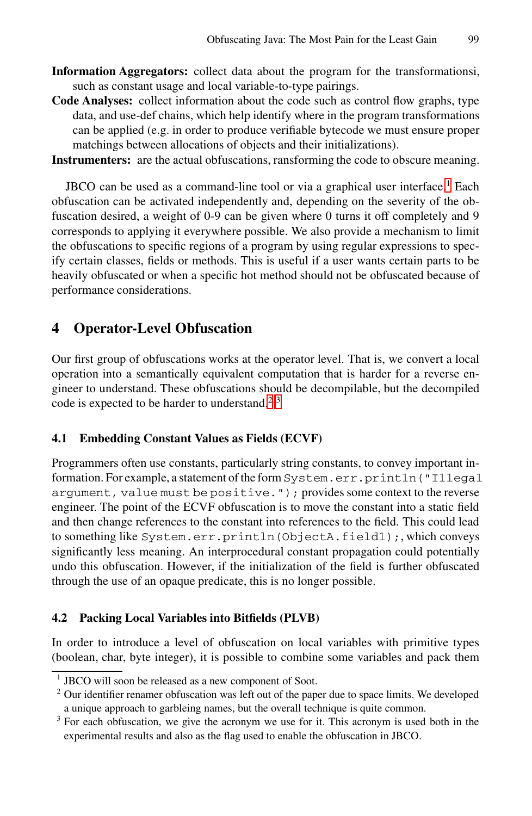- **Information Aggregators:** collect data about the program for the transformationsi, such as constant usage and local variable-to-type pairings.
- **Code Analyses:** collect information about the code such as control flow graphs, type data, and use-def chains, which help identify where in the program transformations can be applied (e.g. in order to produce verifiable bytecode we must ensure proper matchings between allocations of objects and their initializations).
- **Instrumenters:** are the actual obfuscations, ransforming the code to obscure meaning.

JBCO can be used as a command-line tool or via a graphical user interface.<sup>1</sup> Each obfuscation can be activated independently and, depending on the severity of the obfuscation desired, a weight of 0-9 can be given where 0 turns it off completely and 9 corresponds to applying it everywhere possible. We also provide a mechanism to limit the obfuscations to specific regions of a program by using regular expressions to specify certain classes, fields or methods. This is useful if a user wants certain parts to be heavily obfuscated or when a specific hot method should not be obfuscated because of performance considerations.

# **4 Operator-Level Obfuscation**

Our first group of obfuscations works at the operator level. That is, we convert a local operation into a semantically equivalent computation that is harder for a reverse engineer to understand. These obfuscations should be decompilable, but the decompiled code is expected to be harder to understand.<sup>2,3</sup>

# **4.1 Embedding Constant Values as Fields (ECVF)**

Programmers often use constants, particularly string constants, to convey important information. For example, a statement of the form System.err.println("Illegal argument, value must be positive."); provides some context to the reverse engineer. The point of the ECVF obfuscation is to move the constant into a static field and then change references to the constant into references to the field. This could lead to something like System.err.println(ObjectA.field1);, which conveys significantly less meaning. An interprocedural constant propagation could potentially undo this obfuscation. However, if the initialization of the field is further obfuscated through the use of an opaque predicate, this is no longer possible.

### **4.2 Packing Local Variables into Bitfields (PLVB)**

In order to introduce a level of obfuscation on local variables with primitive types (boolean, char, byte integer), it is possible to combine some variables and pack them

<sup>&</sup>lt;sup>1</sup> JBCO will soon be released as a new component of Soot.

 $2$  Our identifier renamer obfuscation was left out of the paper due to space limits. We developed a unique approach to garbleing names, but the overall technique is quite common.

<sup>&</sup>lt;sup>3</sup> For each obfuscation, we give the acronym we use for it. This acronym is used both in the experimental results and also as the flag used to enable the obfuscation in JBCO.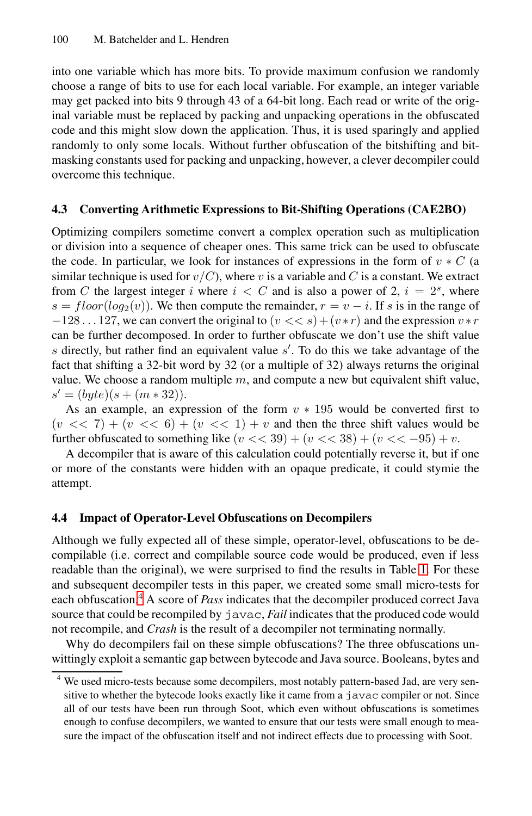into one variable which has more bits. To provide maximum confusion we randomly choose a range of bits to use for each local variable. For example, an integer variable may get packed into bits 9 through 43 of a 64-bit long. Each read or write of the original variable must be replaced by packing and unpacking operations in the obfuscated code and this might slow down the application. Thus, it is used sparingly and applied randomly to only some locals. Without further obfuscation of the bitshifting and bitmasking constants used for packing and unpacking, however, a clever decompiler could overcome this technique.

#### **4.3 Converting Arithmetic Expressions to Bit-Shifting Operations (CAE2BO)**

Optimizing compilers sometime convert a complex operation such as multiplication or division into a sequence of cheaper ones. This same trick can be used to obfuscate the code. In particular, we look for instances of expressions in the form of  $v * C$  (a similar technique is used for  $v/C$ ), where v is a variable and C is a constant. We extract from C the largest integer i where  $i < C$  and is also a power of 2,  $i = 2<sup>s</sup>$ , where  $s = floor(log_2(v))$ . We then compute the remainder,  $r = v - i$ . If s is in the range of  $-128...127$ , we can convert the original to  $(v \lt \lt s) + (v * r)$  and the expression  $v * r$ can be further decomposed. In order to further obfuscate we don't use the shift value s directly, but rather find an equivalent value  $s'$ . To do this we take advantage of the fact that shifting a 32-bit word by 32 (or a multiple of 32) always returns the original value. We choose a random multiple  $m$ , and compute a new but equivalent shift value,  $s' = (byte)(s + (m * 32)).$ 

As an example, an expression of the form  $v * 195$  would be converted first to  $(v \ll 7) + (v \ll 6) + (v \ll 1) + v$  and then the three shift values would be further obfuscated to something like  $(v \ll 39) + (v \ll 38) + (v \ll -95) + v$ .

A decompiler that is aware of this calculation could potentially reverse it, but if one or more of the constants were hidden with an opaque predicate, it could stymie the attempt.

### **4.4 Impact of Operator-Level Obfuscations on Decompilers**

Although we fully expected all of these simple, operator-level, obfuscations to be decompilable (i.e. correct and compilable source code would be produced, even if less readable than the original), we were surprised to find the results in Table 1. For these and subsequent decompiler tests in this paper, we created some small micro-tests for each obfuscation.4 A score of *Pass* indicates that the decompiler produced correct Java source that could be recompiled by javac, *Fail* indicates that the produced code would not recompile, and *Crash* is the result of a decompiler not terminating normally.

Why do decompilers fail on these simple obfuscations? The three obfuscations unwittingly exploit a semantic gap between bytecode and Java source. Booleans, bytes and

<sup>&</sup>lt;sup>4</sup> We used micro-tests because some decompilers, most notably pattern-based Jad, are very sensitive to whether the bytecode looks exactly like it came from a javac compiler or not. Since all of our tests have been run through Soot, which even without obfuscations is sometimes enough to confuse decompilers, we wanted to ensure that our tests were small enough to measure the impact of the obfuscation itself and not indirect effects due to processing with Soot.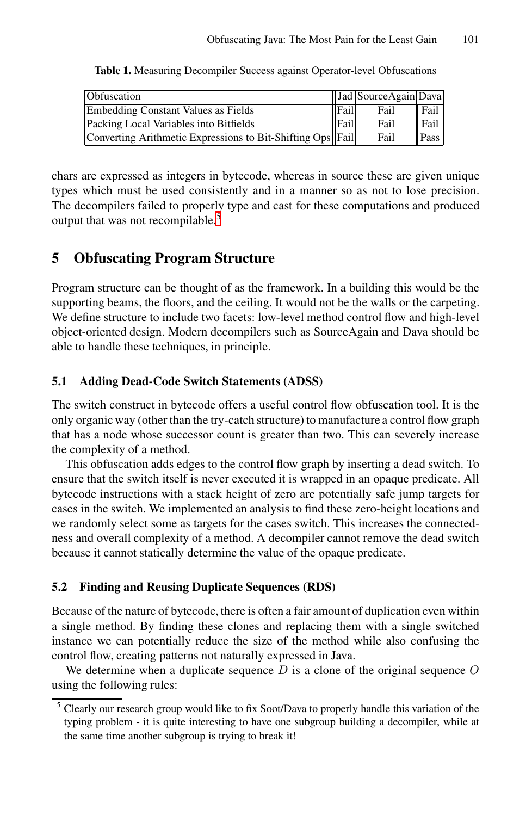**Table 1.** Measuring Decompiler Success against Operator-level Obfuscations

| Obfuscation                                                |      | Jad SourceAgain Dava |      |
|------------------------------------------------------------|------|----------------------|------|
| Embedding Constant Values as Fields                        | Fail | Fail                 | Fail |
| Packing Local Variables into Bitfields                     | Fail | Fail                 | Fail |
| Converting Arithmetic Expressions to Bit-Shifting Ops Fail |      | Fail                 | Pass |

chars are expressed as integers in bytecode, whereas in source these are given unique types which must be used consistently and in a manner so as not to lose precision. The decompilers failed to properly type and cast for these computations and produced output that was not recompilable.<sup>5</sup>

# **5 Obfuscating Program Structure**

Program structure can be thought of as the framework. In a building this would be the supporting beams, the floors, and the ceiling. It would not be the walls or the carpeting. We define structure to include two facets: low-level method control flow and high-level object-oriented design. Modern decompilers such as SourceAgain and Dava should be able to handle these techniques, in principle.

### **5.1 Adding Dead-Code Switch Statements (ADSS)**

The switch construct in bytecode offers a useful control flow obfuscation tool. It is the only organic way (other than the try-catch structure) to manufacture a control flow graph that has a node whose successor count is greater than two. This can severely increase the complexity of a method.

This obfuscation adds edges to the control flow graph by inserting a dead switch. To ensure that the switch itself is never executed it is wrapped in an opaque predicate. All bytecode instructions with a stack height of zero are potentially safe jump targets for cases in the switch. We implemented an analysis to find these zero-height locations and we randomly select some as targets for the cases switch. This increases the connectedness and overall complexity of a method. A decompiler cannot remove the dead switch because it cannot statically determine the value of the opaque predicate.

### **5.2 Finding and Reusing Duplicate Sequences (RDS)**

Because of the nature of bytecode, there is often a fair amount of duplication even within a single method. By finding these clones and replacing them with a single switched instance we can potentially reduce the size of the method while also confusing the control flow, creating patterns not naturally expressed in Java.

We determine when a duplicate sequence  $D$  is a clone of the original sequence  $O$ using the following rules:

<sup>&</sup>lt;sup>5</sup> Clearly our research group would like to fix Soot/Dava to properly handle this variation of the typing problem - it is quite interesting to have one subgroup building a decompiler, while at the same time another subgroup is trying to break it!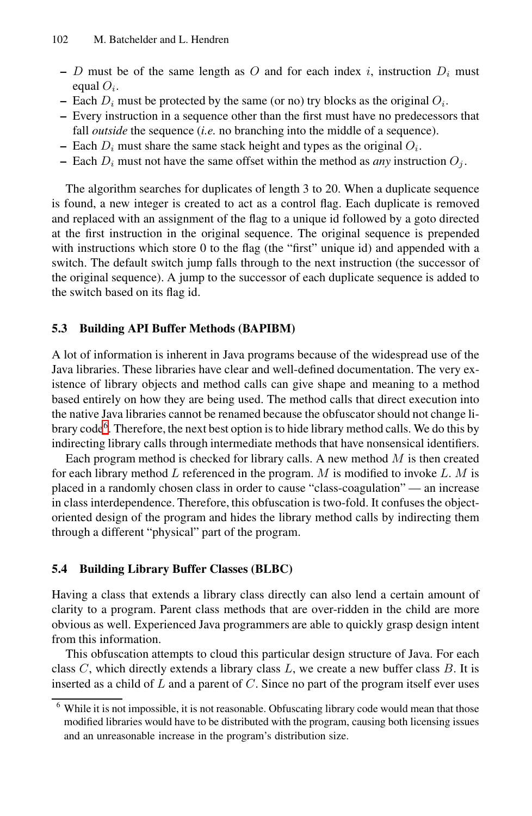- $D$  must be of the same length as  $O$  and for each index  $i$ , instruction  $D_i$  must equal  $O_i$ .
- $-$  Each  $D_i$  must be protected by the same (or no) try blocks as the original  $O_i$ .
- **–** Every instruction in a sequence other than the first must have no predecessors that fall *outside* the sequence *(i.e.* no branching into the middle of a sequence).
- **–** Each  $D_i$  must share the same stack height and types as the original  $O_i$ .
- **–** Each  $D_i$  must not have the same offset within the method as *any* instruction  $O_j$ .

The algorithm searches for duplicates of length 3 to 20. When a duplicate sequence is found, a new integer is created to act as a control flag. Each duplicate is removed and replaced with an assignment of the flag to a unique id followed by a goto directed at the first instruction in the original sequence. The original sequence is prepended with instructions which store 0 to the flag (the "first" unique id) and appended with a switch. The default switch jump falls through to the next instruction (the successor of the original sequence). A jump to the successor of each duplicate sequence is added to the switch based on its flag id.

### **5.3 Building API Buffer Methods (BAPIBM)**

A lot of information is inherent in Java programs because of the widespread use of the Java libraries. These libraries have clear and well-defined documentation. The very existence of library objects and method calls can give shape and meaning to a method based entirely on how they are being used. The method calls that direct execution into the native Java libraries cannot be renamed because the obfuscator should not change library code<sup>6</sup>. Therefore, the next best option is to hide library method calls. We do this by indirecting library calls through intermediate methods that have nonsensical identifiers.

Each program method is checked for library calls. A new method  $M$  is then created for each library method  $L$  referenced in the program.  $M$  is modified to invoke  $L$ .  $M$  is placed in a randomly chosen class in order to cause "class-coagulation" — an increase in class interdependence. Therefore, this obfuscation is two-fold. It confuses the objectoriented design of the program and hides the library method calls by indirecting them through a different "physical" part of the program.

# **5.4 Building Library Buffer Classes (BLBC)**

Having a class that extends a library class directly can also lend a certain amount of clarity to a program. Parent class methods that are over-ridden in the child are more obvious as well. Experienced Java programmers are able to quickly grasp design intent from this information.

This obfuscation attempts to cloud this particular design structure of Java. For each class  $C$ , which directly extends a library class  $L$ , we create a new buffer class  $B$ . It is inserted as a child of  $L$  and a parent of  $C$ . Since no part of the program itself ever uses

 $6\text{ While it is not impossible, it is not reasonable. Obfuscating library code would mean that those$ modified libraries would have to be distributed with the program, causing both licensing issues and an unreasonable increase in the program's distribution size.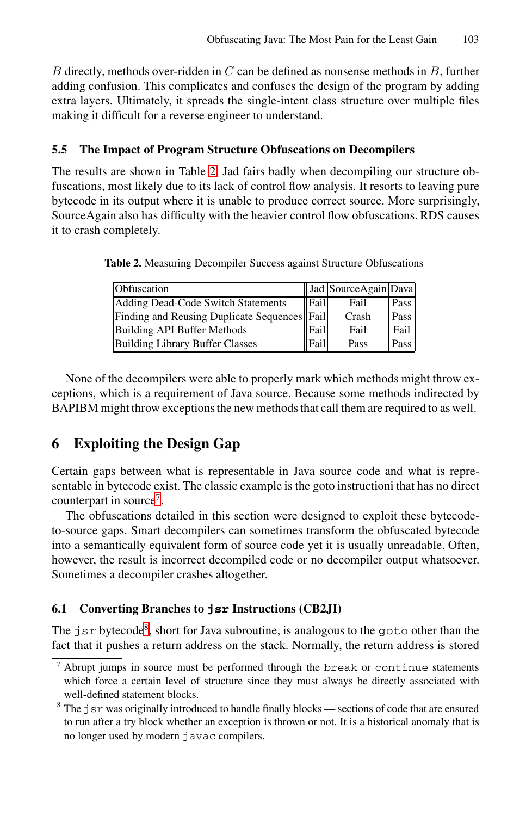$B$  directly, methods over-ridden in  $C$  can be defined as nonsense methods in  $B$ , further adding confusion. This complicates and confuses the design of the program by adding extra layers. Ultimately, it spreads the single-intent class structure over multiple files making it difficult for a reverse engineer to understand.

### **5.5 The Impact of Program Structure Obfuscations on Decompilers**

The results are shown in Table 2. Jad fairs badly when decompiling our structure obfuscations, most likely due to its lack of control flow analysis. It resorts to leaving pure bytecode in its output where it is unable to produce correct source. More surprisingly, SourceAgain also has difficulty with the heavier control flow obfuscations. RDS causes it to crash completely.

| Obfuscation                                  |              | Jad SourceAgain Dava |      |
|----------------------------------------------|--------------|----------------------|------|
| Adding Dead-Code Switch Statements           | <b>IFail</b> | Fail                 | Pass |
| Finding and Reusing Duplicate Sequences Fail |              | Crash                | Pass |
| Building API Buffer Methods                  | Fail         | Fail                 | Fail |
| Building Library Buffer Classes              | Fail         | Pass                 | Pass |

**Table 2.** Measuring Decompiler Success against Structure Obfuscations

None of the decompilers were able to properly mark which methods might throw exceptions, which is a requirement of Java source. Because some methods indirected by BAPIBM might throw exceptions the new methods that call them are required to as well.

# **6 Exploiting the Design Gap**

Certain gaps between what is representable in Java source code and what is representable in bytecode exist. The classic example is the goto instructioni that has no direct counterpart in source7.

The obfuscations detailed in this section were designed to exploit these bytecodeto-source gaps. Smart decompilers can sometimes transform the obfuscated bytecode into a semantically equivalent form of source code yet it is usually unreadable. Often, however, the result is incorrect decompiled code or no decompiler output whatsoever. Sometimes a decompiler crashes altogether.

### **6.1 Converting Branches to jsr Instructions (CB2JI)**

The  $j$ sr bytecode<sup>8</sup>, short for Java subroutine, is analogous to the goto other than the fact that it pushes a return address on the stack. Normally, the return address is stored

 $<sup>7</sup>$  Abrupt jumps in source must be performed through the break or continue statements</sup> which force a certain level of structure since they must always be directly associated with well-defined statement blocks.

 $8$  The jsr was originally introduced to handle finally blocks — sections of code that are ensured to run after a try block whether an exception is thrown or not. It is a historical anomaly that is no longer used by modern javac compilers.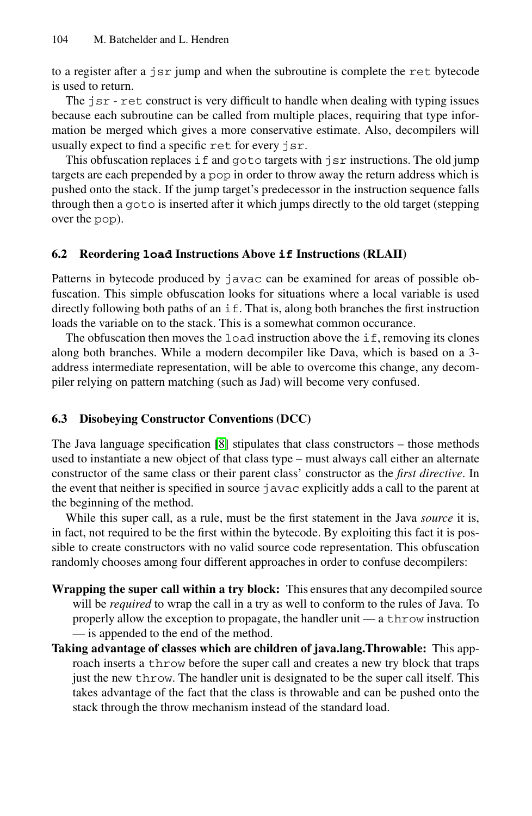to a register after a jsr jump and when the subroutine is complete the ret bytecode is used to return.

The  $\frac{1}{1}$ sr - ret construct is very difficult to handle when dealing with typing issues because each subroutine can be called from multiple places, requiring that type information be merged which gives a more conservative estimate. Also, decompilers will usually expect to find a specific ret for every jsr.

This obfuscation replaces if and goto targets with  $\frac{1}{1}$  sr instructions. The old jump targets are each prepended by a pop in order to throw away the return address which is pushed onto the stack. If the jump target's predecessor in the instruction sequence falls through then a goto is inserted after it which jumps directly to the old target (stepping over the pop).

### **6.2 Reordering load Instructions Above if Instructions (RLAII)**

Patterns in bytecode produced by javac can be examined for areas of possible obfuscation. This simple obfuscation looks for situations where a local variable is used directly following both paths of an if. That is, along both branches the first instruction loads the variable on to the stack. This is a somewhat common occurance.

The obfuscation then moves the load instruction above the if, removing its clones along both branches. While a modern decompiler like Dava, which is based on a 3 address intermediate representation, will be able to overcome this change, any decompiler relying on pattern matching (such as Jad) will become very confused.

### **6.3 Disobeying Constructor Conventions (DCC)**

The Java language specification [8] stipulates that class constructors – those methods used to instantiate a new object of that class type – must always call either an alternate constructor of the same class or their parent class' constructor as the *first directive*. In the event that neither is specified in source javac explicitly adds a call to the parent at the beginning of the method.

While this super call, as a rule, must be the first statement in the Java *source* it is, in fact, not required to be the first within the bytecode. By exploiting this fact it is possible to create constructors with no valid source code representation. This obfuscation randomly chooses among four different approaches in order to confuse decompilers:

- **Wrapping the super call within a try block:** This ensures that any decompiled source will be *required* to wrap the call in a try as well to conform to the rules of Java. To properly allow the exception to propagate, the handler unit — a throw instruction — is appended to the end of the method.
- **Taking advantage of classes which are children of java.lang.Throwable:** This approach inserts a throw before the super call and creates a new try block that traps just the new throw. The handler unit is designated to be the super call itself. This takes advantage of the fact that the class is throwable and can be pushed onto the stack through the throw mechanism instead of the standard load.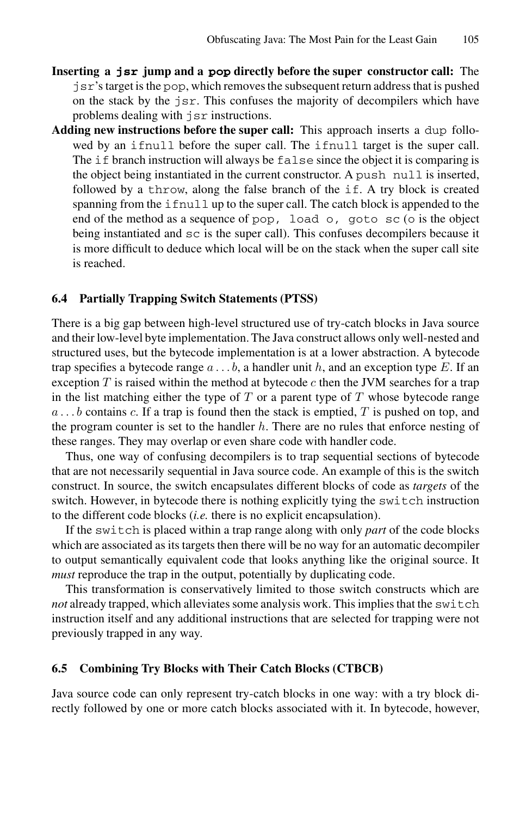- **Inserting a jsr jump and a pop directly before the super constructor call:** The jsr's target is the pop, which removes the subsequent return address that is pushed on the stack by the jsr. This confuses the majority of decompilers which have problems dealing with jsr instructions.
- **Adding new instructions before the super call:** This approach inserts a dup followed by an ifnull before the super call. The ifnull target is the super call. The if branch instruction will always be false since the object it is comparing is the object being instantiated in the current constructor. A push null is inserted, followed by a throw, along the false branch of the if. A try block is created spanning from the ifnull up to the super call. The catch block is appended to the end of the method as a sequence of pop, load o, goto sc (o is the object being instantiated and sc is the super call). This confuses decompilers because it is more difficult to deduce which local will be on the stack when the super call site is reached.

#### **6.4 Partially Trapping Switch Statements (PTSS)**

There is a big gap between high-level structured use of try-catch blocks in Java source and their low-level byte implementation. The Java construct allows only well-nested and structured uses, but the bytecode implementation is at a lower abstraction. A bytecode trap specifies a bytecode range  $a \dots b$ , a handler unit h, and an exception type E. If an exception  $T$  is raised within the method at bytecode  $c$  then the JVM searches for a trap in the list matching either the type of  $T$  or a parent type of  $T$  whose bytecode range  $a \ldots b$  contains c. If a trap is found then the stack is emptied, T is pushed on top, and the program counter is set to the handler  $h$ . There are no rules that enforce nesting of these ranges. They may overlap or even share code with handler code.

Thus, one way of confusing decompilers is to trap sequential sections of bytecode that are not necessarily sequential in Java source code. An example of this is the switch construct. In source, the switch encapsulates different blocks of code as *targets* of the switch. However, in bytecode there is nothing explicitly tying the switch instruction to the different code blocks (*i.e.* there is no explicit encapsulation).

If the switch is placed within a trap range along with only *part* of the code blocks which are associated as its targets then there will be no way for an automatic decompiler to output semantically equivalent code that looks anything like the original source. It *must* reproduce the trap in the output, potentially by duplicating code.

This transformation is conservatively limited to those switch constructs which are *not* already trapped, which alleviates some analysis work. This implies that the switch instruction itself and any additional instructions that are selected for trapping were not previously trapped in any way.

#### **6.5 Combining Try Blocks with Their Catch Blocks (CTBCB)**

Java source code can only represent try-catch blocks in one way: with a try block directly followed by one or more catch blocks associated with it. In bytecode, however,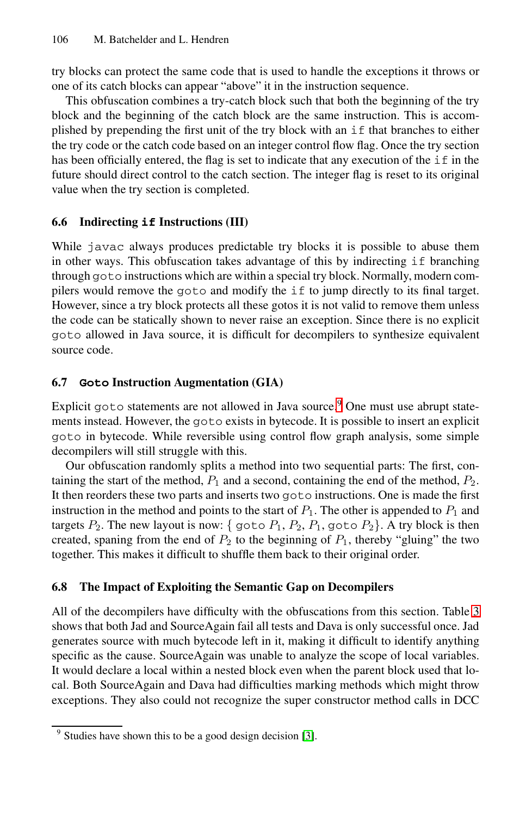try blocks can protect the same code that is used to handle the exceptions it throws or one of its catch blocks can appear "above" it in the instruction sequence.

This obfuscation combines a try-catch block such that both the beginning of the try block and the beginning of the catch block are the same instruction. This is accomplished by prepending the first unit of the try block with an if that branches to either the try code or the catch code based on an integer control flow flag. Once the try section has been officially entered, the flag is set to indicate that any execution of the  $\pm \hat{\epsilon}$  in the future should direct control to the catch section. The integer flag is reset to its original value when the try section is completed.

### **6.6 Indirecting if Instructions (III)**

While javac always produces predictable try blocks it is possible to abuse them in other ways. This obfuscation takes advantage of this by indirecting  $if$  branching through goto instructions which are within a special try block. Normally, modern compilers would remove the goto and modify the if to jump directly to its final target. However, since a try block protects all these gotos it is not valid to remove them unless the code can be statically shown to never raise an exception. Since there is no explicit goto allowed in Java source, it is difficult for decompilers to synthesize equivalent source code.

# **6.7 Goto Instruction Augmentation (GIA)**

Explicit goto statements are not allowed in Java source.<sup>9</sup> One must use abrupt statements instead. However, the goto exists in bytecode. It is possible to insert an explicit goto in bytecode. While reversible using control flow graph analysis, some simple decompilers will still struggle with this.

Our obfuscation randomly splits a method into two sequential parts: The first, containing the start of the method,  $P_1$  and a second, containing the end of the method,  $P_2$ . It then reorders these two parts and inserts two goto instructions. One is made the first instruction in the method and points to the start of  $P_1$ . The other is appended to  $P_1$  and targets  $P_2$ . The new layout is now: { goto  $P_1$ ,  $P_2$ ,  $P_1$ , goto  $P_2$ }. A try block is then created, spaning from the end of  $P_2$  to the beginning of  $P_1$ , thereby "gluing" the two together. This makes it difficult to shuffle them back to their original order.

### **6.8 The Impact of Exploiting the Semantic Gap on Decompilers**

All of the decompilers have difficulty with the obfuscations from this section. Table 3 shows that both Jad and SourceAgain fail all tests and Dava is only successful once. Jad generates source with much bytecode left in it, making it difficult to identify anything specific as the cause. SourceAgain was unable to analyze the scope of local variables. It would declare a local within a nested block even when the parent block used that local. Both SourceAgain and Dava had difficulties marking methods which might throw exceptions. They also could not recognize the super constructor method calls in DCC

<sup>&</sup>lt;sup>9</sup> Studies have shown this to be a good design decision [3].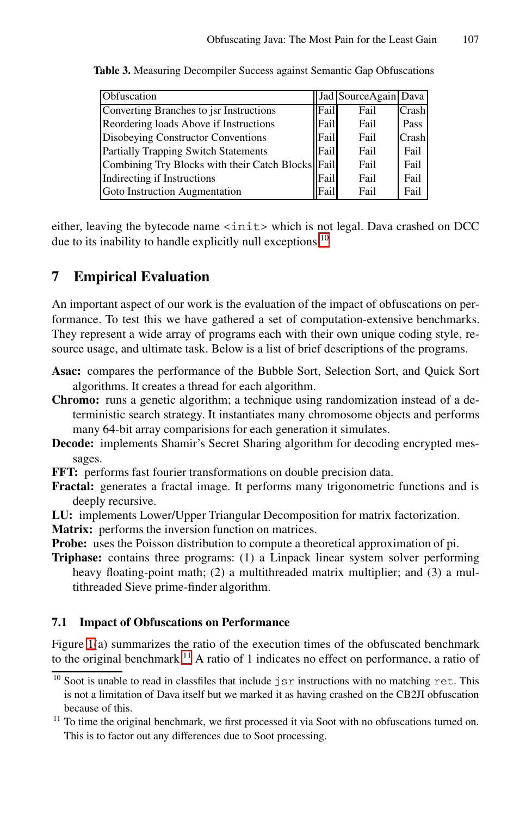| Obfuscation                                       |      | Jad SourceAgain Dava |       |
|---------------------------------------------------|------|----------------------|-------|
| Converting Branches to jsr Instructions           | Fail | Fail                 | Crash |
| Reordering loads Above if Instructions            | Fail | Fail                 | Pass  |
| Disobeying Constructor Conventions                | Fail | Fail                 | Crash |
| <b>Partially Trapping Switch Statements</b>       | Fail | Fail                 | Fail  |
| Combining Try Blocks with their Catch Blocks Fail |      | Fail                 | Fail  |
| Indirecting if Instructions                       | Fail | Fail                 | Fail  |
| Goto Instruction Augmentation                     | Fail | Fail                 | Fail  |

**Table 3.** Measuring Decompiler Success against Semantic Gap Obfuscations

either, leaving the bytecode name  $\langle \text{init} \rangle$  which is not legal. Dava crashed on DCC due to its inability to handle explicitly null exceptions.<sup>10</sup>

# **7 Empirical Evaluation**

An important aspect of our work is the evaluation of the impact of obfuscations on performance. To test this we have gathered a set of computation-extensive benchmarks. They represent a wide array of programs each with their own unique coding style, resource usage, and ultimate task. Below is a list of brief descriptions of the programs.

- **Asac:** compares the performance of the Bubble Sort, Selection Sort, and Quick Sort algorithms. It creates a thread for each algorithm.
- **Chromo:** runs a genetic algorithm; a technique using randomization instead of a deterministic search strategy. It instantiates many chromosome objects and performs many 64-bit array comparisions for each generation it simulates.
- **Decode:** implements Shamir's Secret Sharing algorithm for decoding encrypted messages.
- **FFT:** performs fast fourier transformations on double precision data.
- **Fractal:** generates a fractal image. It performs many trigonometric functions and is deeply recursive.
- **LU:** implements Lower/Upper Triangular Decomposition for matrix factorization.

Matrix: performs the inversion function on matrices.

- **Probe:** uses the Poisson distribution to compute a theoretical approximation of pi.
- **Triphase:** contains three programs: (1) a Linpack linear system solver performing heavy floating-point math; (2) a multithreaded matrix multiplier; and (3) a multithreaded Sieve prime-finder algorithm.

# **7.1 Impact of Obfuscations on Performance**

Figure 1(a) summarizes the ratio of the execution times of the obfuscated benchmark to the original benchmark.<sup>11</sup> A ratio of 1 indicates no effect on performance, a ratio of

 $\frac{10}{10}$  Soot is unable to read in classfiles that include jsr instructions with no matching ret. This is not a limitation of Dava itself but we marked it as having crashed on the CB2JI obfuscation because of this.

 $11$  To time the original benchmark, we first processed it via Soot with no obfuscations turned on. This is to factor out any differences due to Soot processing.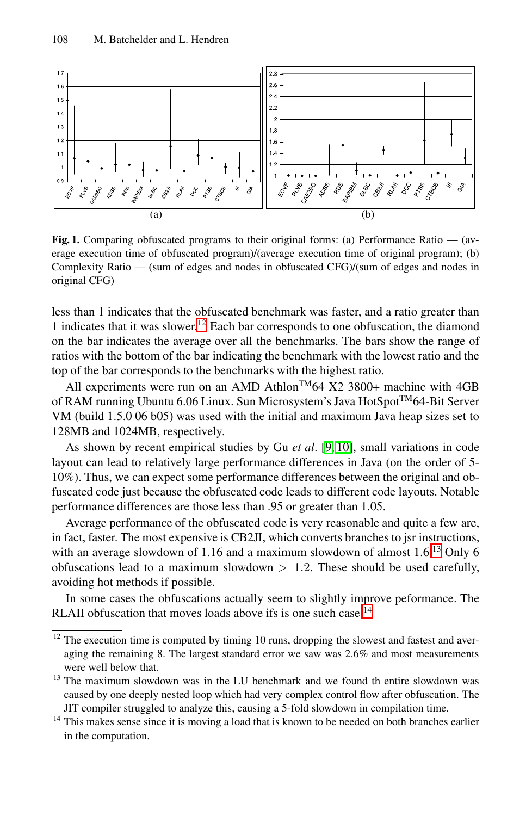

**Fig. 1.** Comparing obfuscated programs to their original forms: (a) Performance Ratio — (average execution time of obfuscated program)/(average execution time of original program); (b) Complexity Ratio — (sum of edges and nodes in obfuscated CFG)/(sum of edges and nodes in original CFG)

less than 1 indicates that the obfuscated benchmark was faster, and a ratio greater than 1 indicates that it was slower.<sup>12</sup> Each bar corresponds to one obfuscation, the diamond on the bar indicates the average over all the benchmarks. The bars show the range of ratios with the bottom of the bar indicating the benchmark with the lowest ratio and the top of the bar corresponds to the benchmarks with the highest ratio.

All experiments were run on an AMD Athlon<sup>TM</sup>64 X2 3800+ machine with 4GB of RAM running Ubuntu 6.06 Linux. Sun Microsystem's Java HotSpot<sup>TM</sup>64-Bit Server VM (build 1.5.0 06 b05) was used with the initial and maximum Java heap sizes set to 128MB and 1024MB, respectively.

As shown by recent empirical studies by Gu *et al*. [9, 10], small variations in code layout can lead to relatively large performance differences in Java (on the order of 5- 10%). Thus, we can expect some performance differences between the original and obfuscated code just because the obfuscated code leads to different code layouts. Notable performance differences are those less than .95 or greater than 1.05.

Average performance of the obfuscated code is very reasonable and quite a few are, in fact, faster. The most expensive is CB2JI, which converts branches to jsr instructions, with an average slowdown of 1.16 and a maximum slowdown of almost  $1.6^{13}$  Only 6 obfuscations lead to a maximum slowdown  $> 1.2$ . These should be used carefully, avoiding hot methods if possible.

In some cases the obfuscations actually seem to slightly improve peformance. The RLAII obfuscation that moves loads above ifs is one such case.<sup>14</sup>

 $12$  The execution time is computed by timing 10 runs, dropping the slowest and fastest and averaging the remaining 8. The largest standard error we saw was 2.6% and most measurements were well below that.

<sup>&</sup>lt;sup>13</sup> The maximum slowdown was in the LU benchmark and we found th entire slowdown was caused by one deeply nested loop which had very complex control flow after obfuscation. The JIT compiler struggled to analyze this, causing a 5-fold slowdown in compilation time.

<sup>&</sup>lt;sup>14</sup> This makes sense since it is moving a load that is known to be needed on both branches earlier in the computation.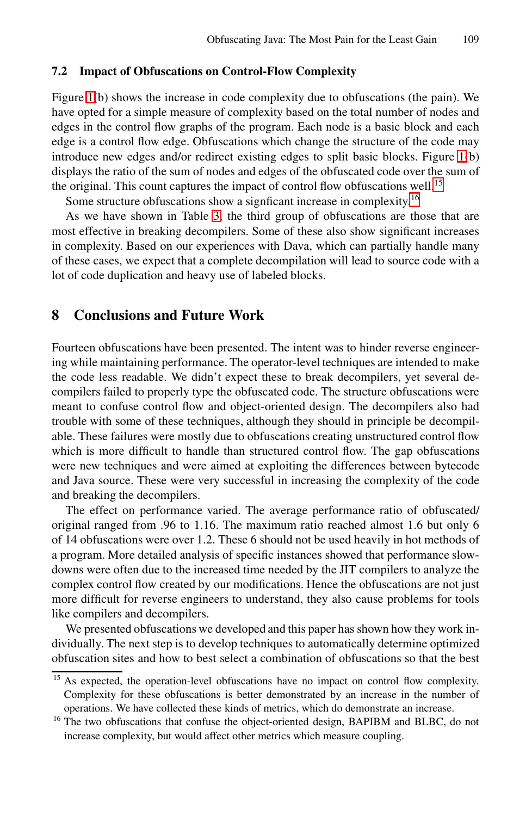# **7.2 Impact of Obfuscations on Control-Flow Complexity**

Figure 1(b) shows the increase in code complexity due to obfuscations (the pain). We have opted for a simple measure of complexity based on the total number of nodes and edges in the control flow graphs of the program. Each node is a basic block and each edge is a control flow edge. Obfuscations which change the structure of the code may introduce new edges and/or redirect existing edges to split basic blocks. Figure 1(b) displays the ratio of the sum of nodes and edges of the obfuscated code over the sum of the original. This count captures the impact of control flow obfuscations well.<sup>15</sup>

Some structure obfuscations show a signficant increase in complexity.<sup>16</sup>

As we have shown in Table 3, the third group of obfuscations are those that are most effective in breaking decompilers. Some of these also show significant increases in complexity. Based on our experiences with Dava, which can partially handle many of these cases, we expect that a complete decompilation will lead to source code with a lot of code duplication and heavy use of labeled blocks.

# **8 Conclusions and Future Work**

Fourteen obfuscations have been presented. The intent was to hinder reverse engineering while maintaining performance. The operator-level techniques are intended to make the code less readable. We didn't expect these to break decompilers, yet several decompilers failed to properly type the obfuscated code. The structure obfuscations were meant to confuse control flow and object-oriented design. The decompilers also had trouble with some of these techniques, although they should in principle be decompilable. These failures were mostly due to obfuscations creating unstructured control flow which is more difficult to handle than structured control flow. The gap obfuscations were new techniques and were aimed at exploiting the differences between bytecode and Java source. These were very successful in increasing the complexity of the code and breaking the decompilers.

The effect on performance varied. The average performance ratio of obfuscated/ original ranged from .96 to 1.16. The maximum ratio reached almost 1.6 but only 6 of 14 obfuscations were over 1.2. These 6 should not be used heavily in hot methods of a program. More detailed analysis of specific instances showed that performance slowdowns were often due to the increased time needed by the JIT compilers to analyze the complex control flow created by our modifications. Hence the obfuscations are not just more difficult for reverse engineers to understand, they also cause problems for tools like compilers and decompilers.

We presented obfuscations we developed and this paper has shown how they work individually. The next step is to develop techniques to automatically determine optimized obfuscation sites and how to best select a combination of obfuscations so that the best

<sup>&</sup>lt;sup>15</sup> As expected, the operation-level obfuscations have no impact on control flow complexity. Complexity for these obfuscations is better demonstrated by an increase in the number of operations. We have collected these kinds of metrics, which do demonstrate an increase.

 $16$ <sup>-1</sup> The two obfuscations that confuse the object-oriented design, BAPIBM and BLBC, do not increase complexity, but would affect other metrics which measure coupling.